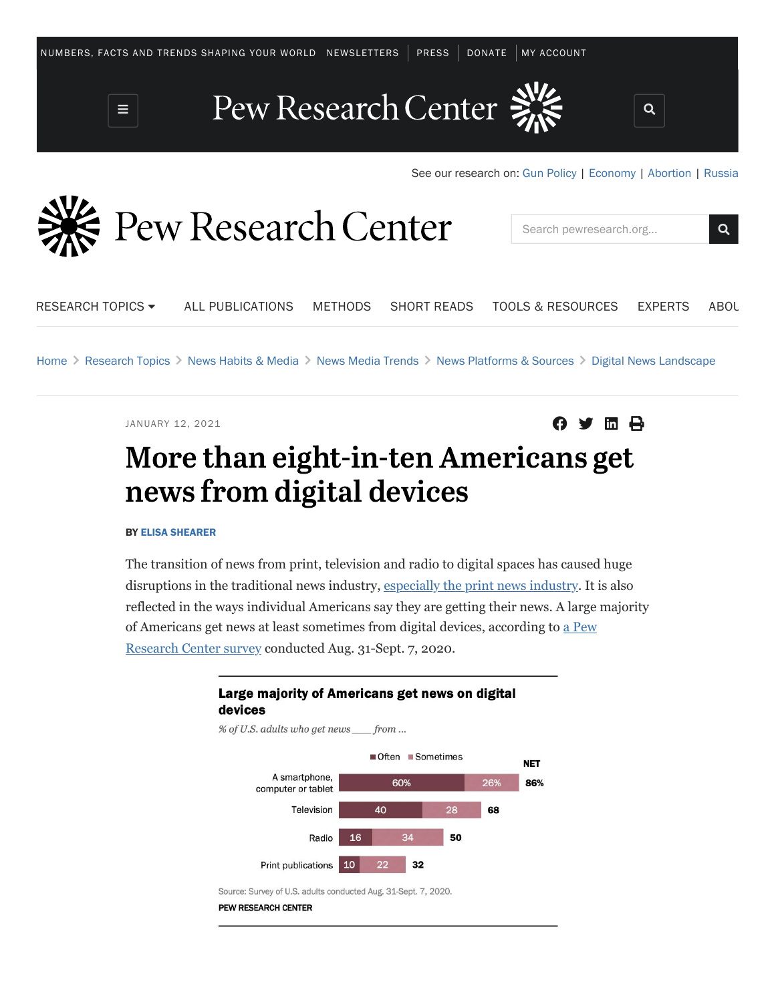

RESEARCH TOPICS -ALL [PUBLICATIONS](https://www.pewresearch.org/publications/) [METHODS](https://www.pewresearch.org/our-methods/) [SHORT](https://www.pewresearch.org/short-reads/) READS TOOLS & [RESOURCES](https://www.pewresearch.org/tools-and-resources/) [EXPERTS](https://www.pewresearch.org/about/experts/) [ABOU](https://www.pewresearch.org/about/)

[Home](https://www.pewresearch.org/) > [Research Topics](https://www.pewresearch.org/topics-categorized) > [News Habits & Media](https://www.pewresearch.org/topic/news-habits-media/) > [News Media Trends](https://www.pewresearch.org/topic/news-habits-media/news-media-trends/) > [News Platforms & Sources](https://www.pewresearch.org/topic/news-habits-media/news-media-trends/news-platforms-sources/) > [Digital News Landscape](https://www.pewresearch.org/topic/news-habits-media/news-media-trends/news-platforms-sources/digital-news-landscape-1/)

JANUARY 12, 2021 **and the set of the set of the set of the set of the set of**  $\mathbf{\Theta}$ 

Search [pewresearch.org.](https://pewresearch.org).. Q

# More than eight-in-ten Americans get news from digital devices

BY [ELISA SHEARER](https://www.pewresearch.org/staff/elisa-shearer)

The transition of news from print, television and radio to digital spaces has caused huge disruptions in the traditional news industry, [especially the print news industry](https://www.pewresearch.org/fact-tank/2020/02/14/fast-facts-about-the-newspaper-industrys-financial-struggles/). It is also reflected in the ways individual Americans say they are getting their news. A large majority [of Americans get news at least sometimes from digital devices, according to a Pew](https://www.pewresearch.org/journalism/2021/01/12/news-use-across-social-media-platforms-in-2020/) Research Center survey conducted Aug. 31-Sept. 7, 2020.

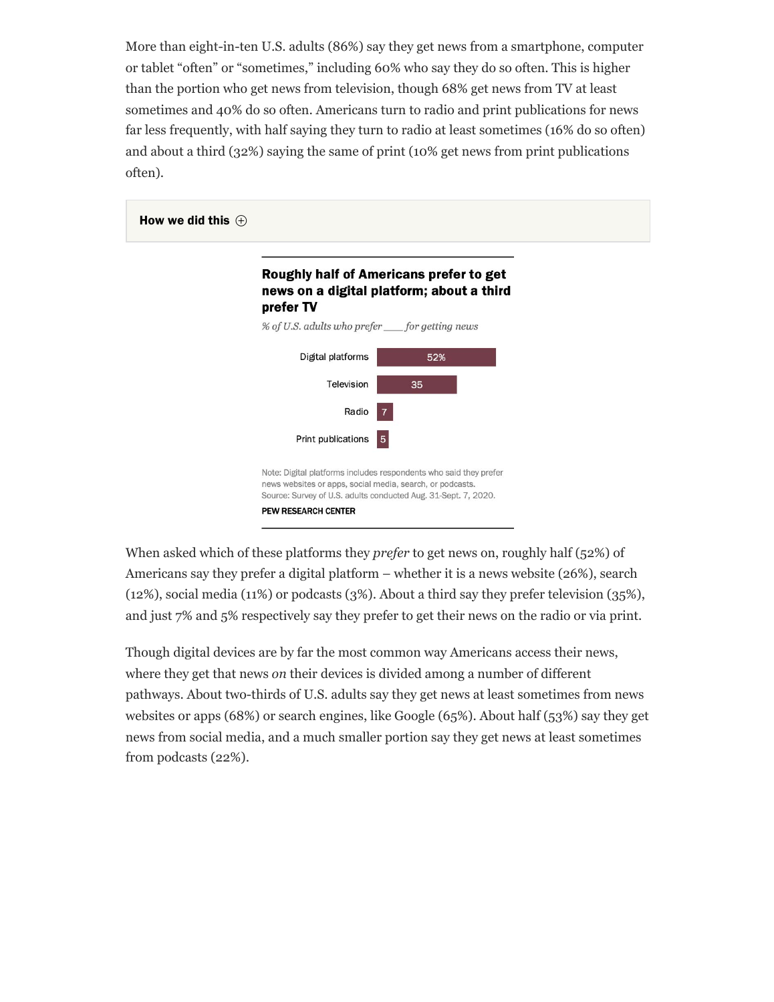More than eight-in-ten U.S. adults (86%) say they get news from a smartphone, computer or tablet "often" or "sometimes," including 60% who say they do so often. This is higher than the portion who get news from television, though 68% get news from TV at least sometimes and 40% do so often. Americans turn to radio and print publications for news far less frequently, with half saying they turn to radio at least sometimes (16% do so often) and about a third (32%) saying the same of print (10% get news from print publications often).



When asked which of these platforms they *prefer* to get news on, roughly half (52%) of Americans say they prefer a digital platform – whether it is a news website (26%), search (12%), social media (11%) or podcasts (3%). About a third say they prefer television (35%), and just 7% and 5% respectively say they prefer to get their news on the radio or via print.

Though digital devices are by far the most common way Americans access their news, where they get that news *on* their devices is divided among a number of different pathways. About two-thirds of U.S. adults say they get news at least sometimes from news websites or apps (68%) or search engines, like Google (65%). About half (53%) say they get news from social media, and a much smaller portion say they get news at least sometimes from podcasts (22%).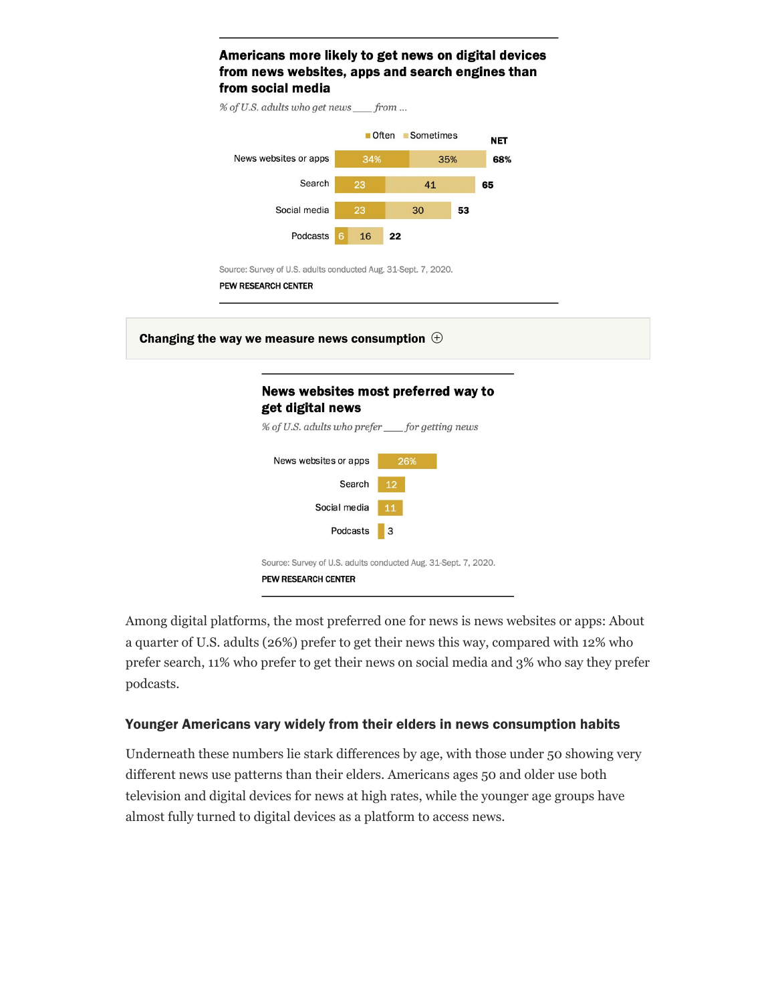

Among digital platforms, the most preferred one for news is news websites or apps: About a quarter of U.S. adults (26%) prefer to get their news this way, compared with 12% who prefer search, 11% who prefer to get their news on social media and 3% who say they prefer podcasts.

### Younger Americans vary widely from their elders in news consumption habits

Underneath these numbers lie stark differences by age, with those under 50 showing very different news use patterns than their elders. Americans ages 50 and older use both television and digital devices for news at high rates, while the younger age groups have almost fully turned to digital devices as a platform to access news.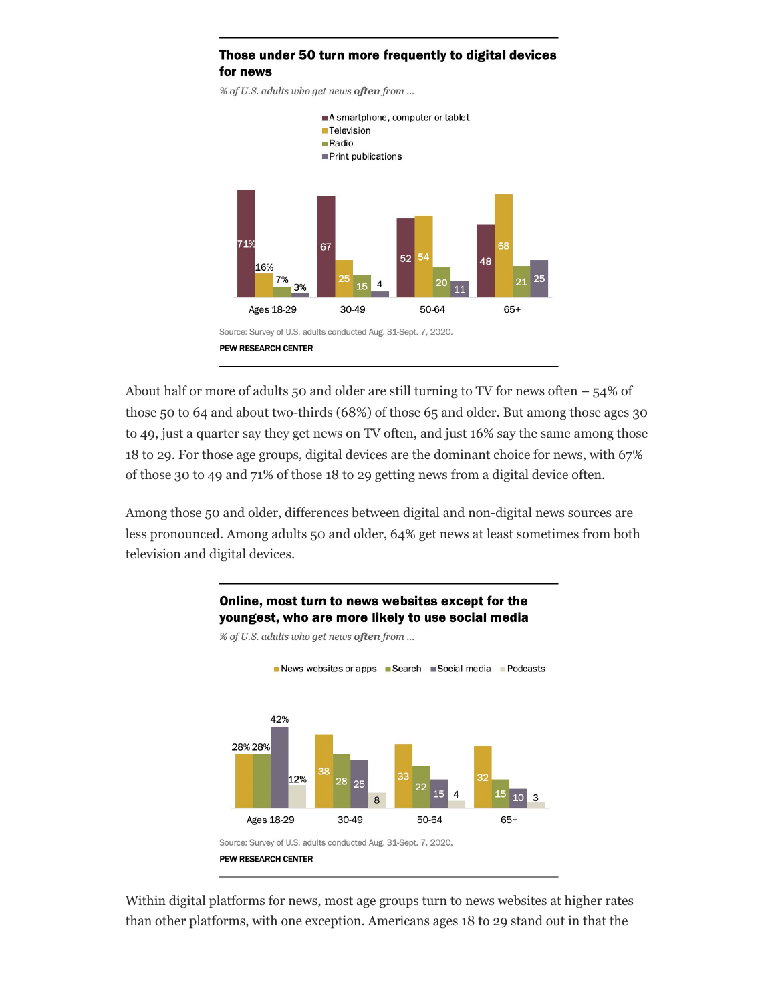#### Those under 50 turn more frequently to digital devices for news

% of U.S. adults who get news often from ...



About half or more of adults 50 and older are still turning to TV for news often  $-54\%$  of those 50 to 64 and about two-thirds (68%) of those 65 and older. But among those ages 30 to 49, just a quarter say they get news on TV often, and just 16% say the same among those 18 to 29. For those age groups, digital devices are the dominant choice for news, with 67% of those 30 to 49 and 71% of those 18 to 29 getting news from a digital device often.

Among those 50 and older, differences between digital and non-digital news sources are less pronounced. Among adults 50 and older, 64% get news at least sometimes from both television and digital devices.

> Online, most turn to news websites except for the youngest, who are more likely to use social media



% of U.S. adults who get news often from ...

Within digital platforms for news, most age groups turn to news websites at higher rates than other platforms, with one exception. Americans ages 18 to 29 stand out in that the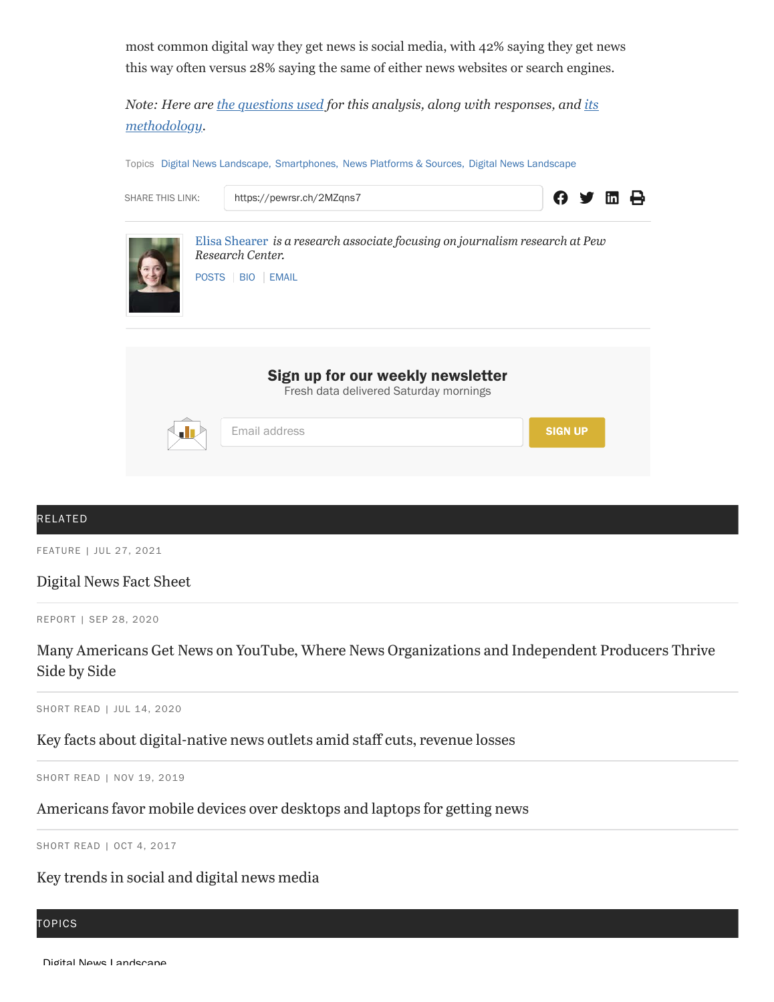most common digital way they get news is social media, with 42% saying they get news this way often versus 28% saying the same of either news websites or search engines.

*[Note: Here are t](https://www.pewresearch.org/journalism/2021/01/12/news-consumption-on-social-media-methodology/)[he questions used](https://www.pewresearch.org/journalism/wp-content/uploads/sites/8/2021/01/PJ_2021.01.12_News-and-Social-Media_TOPLINE.pdf) [for this analysis, along with responses, and its](https://www.pewresearch.org/journalism/2021/01/12/news-consumption-on-social-media-methodology/) methodology.*

Topics [Digital News Landscape,](https://www.pewresearch.org/topic/internet-technology/digital-news-landscape-2/) [Smartphones,](https://www.pewresearch.org/topic/internet-technology/platforms-services/mobile/smartphones/) [News Platforms & Sources,](https://www.pewresearch.org/topic/news-habits-media/news-media-trends/news-platforms-sources/) [Digital News Landscape](https://www.pewresearch.org/topic/news-habits-media/news-media-trends/news-platforms-sources/digital-news-landscape-1/)



#### RELATED

FEATURE | JUL 27, 2021

#### [Digital](https://www.pewresearch.org/journalism/fact-sheet/digital-news/) News Fact Sheet

REPORT | SEP 28, 2020

## Side by Side Many Americans Get News on YouTube, Where News [Organizations](https://www.pewresearch.org/journalism/2020/09/28/many-americans-get-news-on-youtube-where-news-organizations-and-independent-producers-thrive-side-by-side/) and Independent Producers Thrive

SHORT READ | JUL 14, 2020

#### Key facts about [digital-native](https://www.pewresearch.org/fact-tank/2020/07/14/key-facts-about-digital-native-news-outlets-amid-staff-cuts-revenue-losses/) news outlets amid staff cuts, revenue losses

SHORT READ | NOV 19, 2019

#### [Americans](https://www.pewresearch.org/fact-tank/2019/11/19/americans-favor-mobile-devices-over-desktops-and-laptops-for-getting-news/) favor mobile devices over desktops and laptops for getting news

SHORT READ | OCT 4, 2017

#### Key [trends](https://www.pewresearch.org/fact-tank/2017/10/04/key-trends-in-social-and-digital-news-media/) in social and digital news media

#### TOPICS